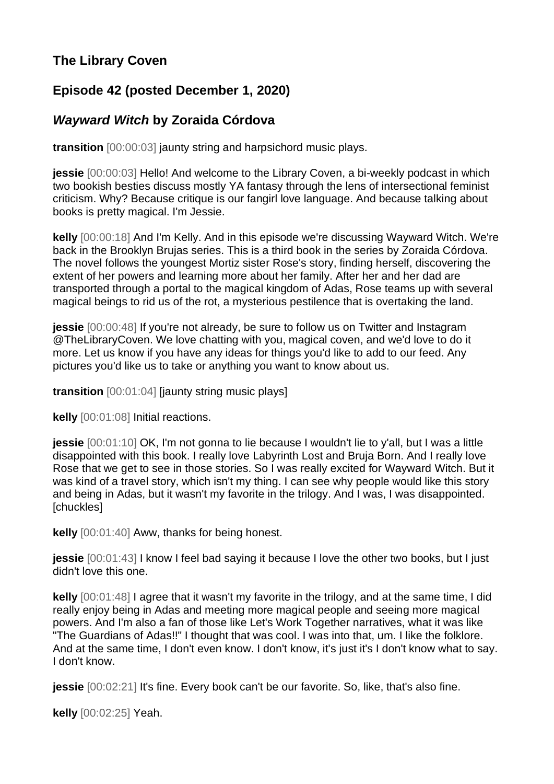## **The Library Coven**

## **Episode 42 (posted December 1, 2020)**

## *Wayward Witch* **by Zoraida Córdova**

**transition** [00:00:03] jaunty string and harpsichord music plays.

**jessie** [00:00:03] Hello! And welcome to the Library Coven, a bi-weekly podcast in which two bookish besties discuss mostly YA fantasy through the lens of intersectional feminist criticism. Why? Because critique is our fangirl love language. And because talking about books is pretty magical. I'm Jessie.

**kelly** [00:00:18] And I'm Kelly. And in this episode we're discussing Wayward Witch. We're back in the Brooklyn Brujas series. This is a third book in the series by Zoraida Córdova. The novel follows the youngest Mortiz sister Rose's story, finding herself, discovering the extent of her powers and learning more about her family. After her and her dad are transported through a portal to the magical kingdom of Adas, Rose teams up with several magical beings to rid us of the rot, a mysterious pestilence that is overtaking the land.

**jessie** [00:00:48] If you're not already, be sure to follow us on Twitter and Instagram @TheLibraryCoven. We love chatting with you, magical coven, and we'd love to do it more. Let us know if you have any ideas for things you'd like to add to our feed. Any pictures you'd like us to take or anything you want to know about us.

**transition** [00:01:04] [jaunty string music plays]

**kelly** [00:01:08] Initial reactions.

**jessie** [00:01:10] OK, I'm not gonna to lie because I wouldn't lie to y'all, but I was a little disappointed with this book. I really love Labyrinth Lost and Bruja Born. And I really love Rose that we get to see in those stories. So I was really excited for Wayward Witch. But it was kind of a travel story, which isn't my thing. I can see why people would like this story and being in Adas, but it wasn't my favorite in the trilogy. And I was, I was disappointed. [chuckles]

**kelly** [00:01:40] Aww, thanks for being honest.

**jessie** [00:01:43] I know I feel bad saying it because I love the other two books, but I just didn't love this one.

**kelly** [00:01:48] I agree that it wasn't my favorite in the trilogy, and at the same time, I did really enjoy being in Adas and meeting more magical people and seeing more magical powers. And I'm also a fan of those like Let's Work Together narratives, what it was like "The Guardians of Adas!!" I thought that was cool. I was into that, um. I like the folklore. And at the same time, I don't even know. I don't know, it's just it's I don't know what to say. I don't know.

**jessie**  $[00:02:21]$  It's fine. Every book can't be our favorite. So, like, that's also fine.

**kelly** [00:02:25] Yeah.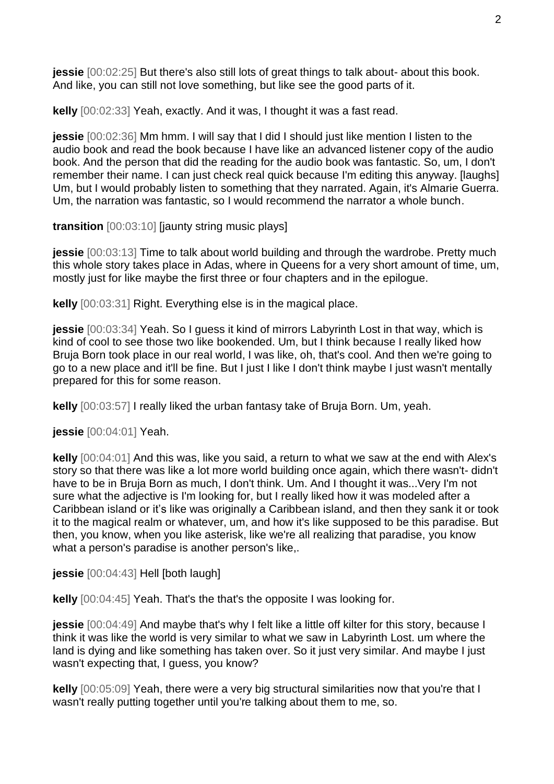**jessie** [00:02:25] But there's also still lots of great things to talk about- about this book. And like, you can still not love something, but like see the good parts of it.

**kelly** [00:02:33] Yeah, exactly. And it was, I thought it was a fast read.

**jessie** [00:02:36] Mm hmm. I will say that I did I should just like mention I listen to the audio book and read the book because I have like an advanced listener copy of the audio book. And the person that did the reading for the audio book was fantastic. So, um, I don't remember their name. I can just check real quick because I'm editing this anyway. [laughs] Um, but I would probably listen to something that they narrated. Again, it's Almarie Guerra. Um, the narration was fantastic, so I would recommend the narrator a whole bunch.

**transition** [00:03:10] [jaunty string music plays]

**jessie**  $[00:03:13]$  Time to talk about world building and through the wardrobe. Pretty much this whole story takes place in Adas, where in Queens for a very short amount of time, um, mostly just for like maybe the first three or four chapters and in the epilogue.

**kelly** [00:03:31] Right. Everything else is in the magical place.

**jessie** [00:03:34] Yeah. So I guess it kind of mirrors Labyrinth Lost in that way, which is kind of cool to see those two like bookended. Um, but I think because I really liked how Bruja Born took place in our real world, I was like, oh, that's cool. And then we're going to go to a new place and it'll be fine. But I just I like I don't think maybe I just wasn't mentally prepared for this for some reason.

**kelly** [00:03:57] I really liked the urban fantasy take of Bruja Born. Um, yeah.

**jessie** [00:04:01] Yeah.

**kelly** [00:04:01] And this was, like you said, a return to what we saw at the end with Alex's story so that there was like a lot more world building once again, which there wasn't- didn't have to be in Bruja Born as much, I don't think. Um. And I thought it was...Very I'm not sure what the adjective is I'm looking for, but I really liked how it was modeled after a Caribbean island or it's like was originally a Caribbean island, and then they sank it or took it to the magical realm or whatever, um, and how it's like supposed to be this paradise. But then, you know, when you like asterisk, like we're all realizing that paradise, you know what a person's paradise is another person's like,.

**jessie** [00:04:43] Hell [both laugh]

**kelly** [00:04:45] Yeah. That's the that's the opposite I was looking for.

**jessie** [00:04:49] And maybe that's why I felt like a little off kilter for this story, because I think it was like the world is very similar to what we saw in Labyrinth Lost. um where the land is dying and like something has taken over. So it just very similar. And maybe I just wasn't expecting that, I guess, you know?

**kelly** [00:05:09] Yeah, there were a very big structural similarities now that you're that I wasn't really putting together until you're talking about them to me, so.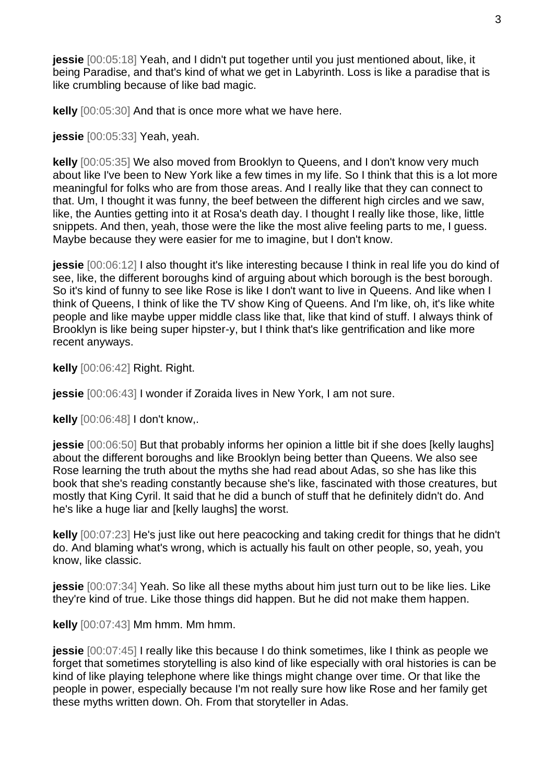**jessie** [00:05:18] Yeah, and I didn't put together until you just mentioned about, like, it being Paradise, and that's kind of what we get in Labyrinth. Loss is like a paradise that is like crumbling because of like bad magic.

**kelly** [00:05:30] And that is once more what we have here.

**jessie** [00:05:33] Yeah, yeah.

**kelly** [00:05:35] We also moved from Brooklyn to Queens, and I don't know very much about like I've been to New York like a few times in my life. So I think that this is a lot more meaningful for folks who are from those areas. And I really like that they can connect to that. Um, I thought it was funny, the beef between the different high circles and we saw, like, the Aunties getting into it at Rosa's death day. I thought I really like those, like, little snippets. And then, yeah, those were the like the most alive feeling parts to me, I guess. Maybe because they were easier for me to imagine, but I don't know.

**jessie** [00:06:12] I also thought it's like interesting because I think in real life you do kind of see, like, the different boroughs kind of arguing about which borough is the best borough. So it's kind of funny to see like Rose is like I don't want to live in Queens. And like when I think of Queens, I think of like the TV show King of Queens. And I'm like, oh, it's like white people and like maybe upper middle class like that, like that kind of stuff. I always think of Brooklyn is like being super hipster-y, but I think that's like gentrification and like more recent anyways.

**kelly** [00:06:42] Right. Right.

**jessie** [00:06:43] I wonder if Zoraida lives in New York, I am not sure.

**kelly** [00:06:48] I don't know,.

**jessie** [00:06:50] But that probably informs her opinion a little bit if she does [kelly laughs] about the different boroughs and like Brooklyn being better than Queens. We also see Rose learning the truth about the myths she had read about Adas, so she has like this book that she's reading constantly because she's like, fascinated with those creatures, but mostly that King Cyril. It said that he did a bunch of stuff that he definitely didn't do. And he's like a huge liar and [kelly laughs] the worst.

**kelly** [00:07:23] He's just like out here peacocking and taking credit for things that he didn't do. And blaming what's wrong, which is actually his fault on other people, so, yeah, you know, like classic.

**jessie** [00:07:34] Yeah. So like all these myths about him just turn out to be like lies. Like they're kind of true. Like those things did happen. But he did not make them happen.

**kelly** [00:07:43] Mm hmm. Mm hmm.

**jessie** [00:07:45] I really like this because I do think sometimes, like I think as people we forget that sometimes storytelling is also kind of like especially with oral histories is can be kind of like playing telephone where like things might change over time. Or that like the people in power, especially because I'm not really sure how like Rose and her family get these myths written down. Oh. From that storyteller in Adas.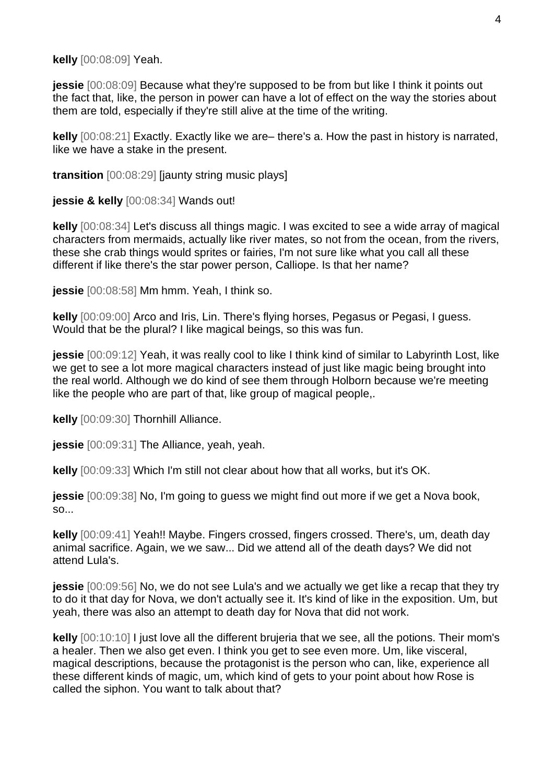**kelly** [00:08:09] Yeah.

**jessie** [00:08:09] Because what they're supposed to be from but like I think it points out the fact that, like, the person in power can have a lot of effect on the way the stories about them are told, especially if they're still alive at the time of the writing.

**kelly** [00:08:21] Exactly. Exactly like we are– there's a. How the past in history is narrated, like we have a stake in the present.

**transition** [00:08:29] [jaunty string music plays]

**jessie & kelly** [00:08:34] Wands out!

**kelly** [00:08:34] Let's discuss all things magic. I was excited to see a wide array of magical characters from mermaids, actually like river mates, so not from the ocean, from the rivers, these she crab things would sprites or fairies, I'm not sure like what you call all these different if like there's the star power person, Calliope. Is that her name?

**jessie** [00:08:58] Mm hmm. Yeah, I think so.

**kelly** [00:09:00] Arco and Iris, Lin. There's flying horses, Pegasus or Pegasi, I guess. Would that be the plural? I like magical beings, so this was fun.

**jessie** [00:09:12] Yeah, it was really cool to like I think kind of similar to Labyrinth Lost, like we get to see a lot more magical characters instead of just like magic being brought into the real world. Although we do kind of see them through Holborn because we're meeting like the people who are part of that, like group of magical people,.

**kelly** [00:09:30] Thornhill Alliance.

**jessie** [00:09:31] The Alliance, yeah, yeah.

**kelly** [00:09:33] Which I'm still not clear about how that all works, but it's OK.

**jessie**  $[00:09:38]$  No, I'm going to guess we might find out more if we get a Nova book, so...

**kelly** [00:09:41] Yeah!! Maybe. Fingers crossed, fingers crossed. There's, um, death day animal sacrifice. Again, we we saw... Did we attend all of the death days? We did not attend Lula's.

**jessie** [00:09:56] No, we do not see Lula's and we actually we get like a recap that they try to do it that day for Nova, we don't actually see it. It's kind of like in the exposition. Um, but yeah, there was also an attempt to death day for Nova that did not work.

**kelly** [00:10:10] I just love all the different brujeria that we see, all the potions. Their mom's a healer. Then we also get even. I think you get to see even more. Um, like visceral, magical descriptions, because the protagonist is the person who can, like, experience all these different kinds of magic, um, which kind of gets to your point about how Rose is called the siphon. You want to talk about that?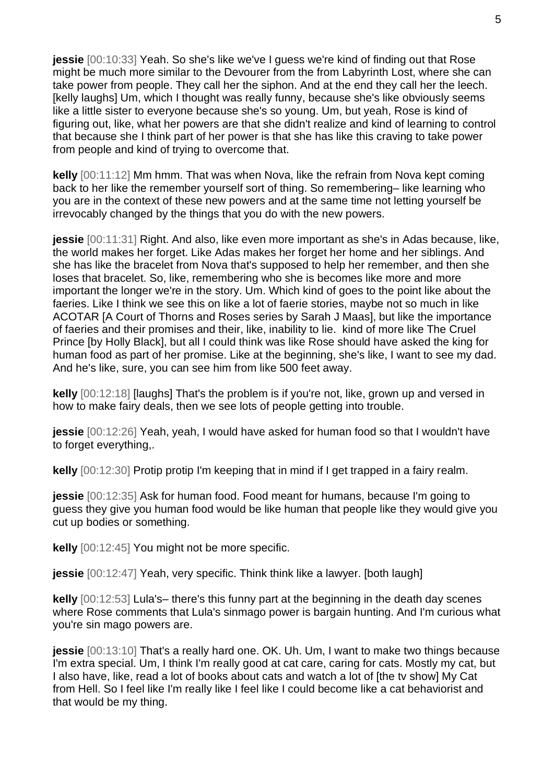**jessie** [00:10:33] Yeah. So she's like we've I guess we're kind of finding out that Rose might be much more similar to the Devourer from the from Labyrinth Lost, where she can take power from people. They call her the siphon. And at the end they call her the leech. [kelly laughs] Um, which I thought was really funny, because she's like obviously seems like a little sister to everyone because she's so young. Um, but yeah, Rose is kind of figuring out, like, what her powers are that she didn't realize and kind of learning to control that because she I think part of her power is that she has like this craving to take power from people and kind of trying to overcome that.

**kelly** [00:11:12] Mm hmm. That was when Nova, like the refrain from Nova kept coming back to her like the remember yourself sort of thing. So remembering– like learning who you are in the context of these new powers and at the same time not letting yourself be irrevocably changed by the things that you do with the new powers.

**jessie** [00:11:31] Right. And also, like even more important as she's in Adas because, like, the world makes her forget. Like Adas makes her forget her home and her siblings. And she has like the bracelet from Nova that's supposed to help her remember, and then she loses that bracelet. So, like, remembering who she is becomes like more and more important the longer we're in the story. Um. Which kind of goes to the point like about the faeries. Like I think we see this on like a lot of faerie stories, maybe not so much in like ACOTAR [A Court of Thorns and Roses series by Sarah J Maas], but like the importance of faeries and their promises and their, like, inability to lie. kind of more like The Cruel Prince [by Holly Black], but all I could think was like Rose should have asked the king for human food as part of her promise. Like at the beginning, she's like, I want to see my dad. And he's like, sure, you can see him from like 500 feet away.

**kelly** [00:12:18] [laughs] That's the problem is if you're not, like, grown up and versed in how to make fairy deals, then we see lots of people getting into trouble.

**jessie** [00:12:26] Yeah, yeah, I would have asked for human food so that I wouldn't have to forget everything,.

**kelly** [00:12:30] Protip protip I'm keeping that in mind if I get trapped in a fairy realm.

**jessie** [00:12:35] Ask for human food. Food meant for humans, because I'm going to guess they give you human food would be like human that people like they would give you cut up bodies or something.

**kelly** [00:12:45] You might not be more specific.

**jessie** [00:12:47] Yeah, very specific. Think think like a lawyer. [both laugh]

**kelly** [00:12:53] Lula's– there's this funny part at the beginning in the death day scenes where Rose comments that Lula's sinmago power is bargain hunting. And I'm curious what you're sin mago powers are.

**jessie** [00:13:10] That's a really hard one. OK. Uh. Um, I want to make two things because I'm extra special. Um, I think I'm really good at cat care, caring for cats. Mostly my cat, but I also have, like, read a lot of books about cats and watch a lot of [the tv show] My Cat from Hell. So I feel like I'm really like I feel like I could become like a cat behaviorist and that would be my thing.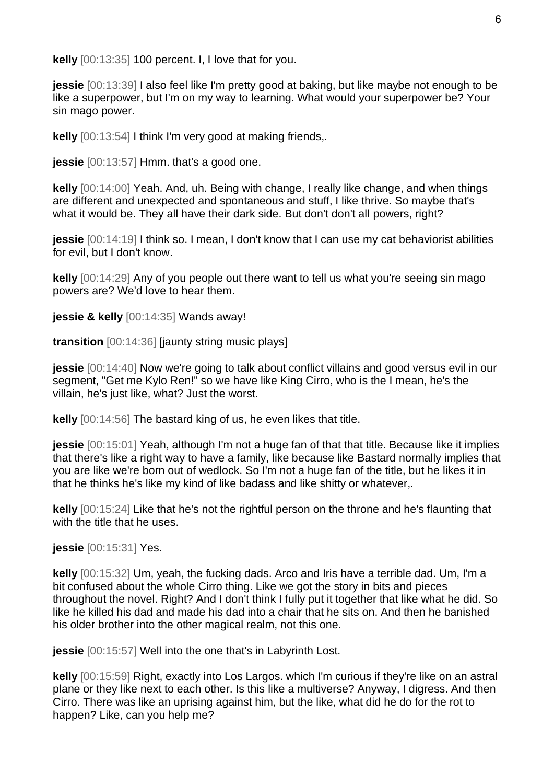**kelly** [00:13:35] 100 percent. I, I love that for you.

**jessie** [00:13:39] I also feel like I'm pretty good at baking, but like maybe not enough to be like a superpower, but I'm on my way to learning. What would your superpower be? Your sin mago power.

**kelly** [00:13:54] I think I'm very good at making friends,.

**jessie** [00:13:57] Hmm. that's a good one.

**kelly** [00:14:00] Yeah. And, uh. Being with change, I really like change, and when things are different and unexpected and spontaneous and stuff, I like thrive. So maybe that's what it would be. They all have their dark side. But don't don't all powers, right?

**jessie** [00:14:19] I think so. I mean, I don't know that I can use my cat behaviorist abilities for evil, but I don't know.

**kelly** [00:14:29] Any of you people out there want to tell us what you're seeing sin mago powers are? We'd love to hear them.

**jessie & kelly** [00:14:35] Wands away!

**transition** [00:14:36] [jaunty string music plays]

**jessie** [00:14:40] Now we're going to talk about conflict villains and good versus evil in our segment, "Get me Kylo Ren!" so we have like King Cirro, who is the I mean, he's the villain, he's just like, what? Just the worst.

**kelly** [00:14:56] The bastard king of us, he even likes that title.

**jessie** [00:15:01] Yeah, although I'm not a huge fan of that that title. Because like it implies that there's like a right way to have a family, like because like Bastard normally implies that you are like we're born out of wedlock. So I'm not a huge fan of the title, but he likes it in that he thinks he's like my kind of like badass and like shitty or whatever,.

**kelly** [00:15:24] Like that he's not the rightful person on the throne and he's flaunting that with the title that he uses.

**jessie** [00:15:31] Yes.

**kelly** [00:15:32] Um, yeah, the fucking dads. Arco and Iris have a terrible dad. Um, I'm a bit confused about the whole Cirro thing. Like we got the story in bits and pieces throughout the novel. Right? And I don't think I fully put it together that like what he did. So like he killed his dad and made his dad into a chair that he sits on. And then he banished his older brother into the other magical realm, not this one.

**jessie** [00:15:57] Well into the one that's in Labyrinth Lost.

**kelly** [00:15:59] Right, exactly into Los Largos. which I'm curious if they're like on an astral plane or they like next to each other. Is this like a multiverse? Anyway, I digress. And then Cirro. There was like an uprising against him, but the like, what did he do for the rot to happen? Like, can you help me?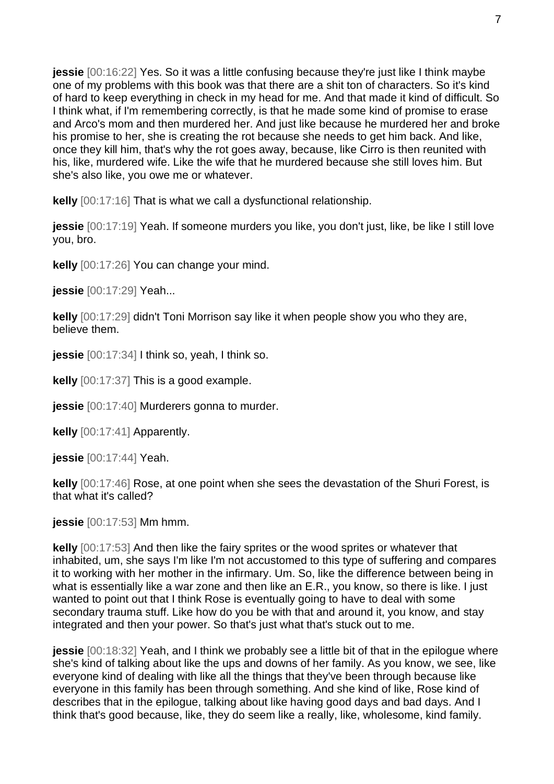**jessie** [00:16:22] Yes. So it was a little confusing because they're just like I think maybe one of my problems with this book was that there are a shit ton of characters. So it's kind of hard to keep everything in check in my head for me. And that made it kind of difficult. So I think what, if I'm remembering correctly, is that he made some kind of promise to erase and Arco's mom and then murdered her. And just like because he murdered her and broke his promise to her, she is creating the rot because she needs to get him back. And like, once they kill him, that's why the rot goes away, because, like Cirro is then reunited with his, like, murdered wife. Like the wife that he murdered because she still loves him. But she's also like, you owe me or whatever.

**kelly** [00:17:16] That is what we call a dysfunctional relationship.

**jessie** [00:17:19] Yeah. If someone murders you like, you don't just, like, be like I still love you, bro.

**kelly** [00:17:26] You can change your mind.

**jessie** [00:17:29] Yeah...

**kelly** [00:17:29] didn't Toni Morrison say like it when people show you who they are, believe them.

**jessie** [00:17:34] I think so, yeah, I think so.

**kelly** [00:17:37] This is a good example.

**jessie** [00:17:40] Murderers gonna to murder.

**kelly** [00:17:41] Apparently.

**jessie** [00:17:44] Yeah.

**kelly** [00:17:46] Rose, at one point when she sees the devastation of the Shuri Forest, is that what it's called?

**jessie** [00:17:53] Mm hmm.

**kelly** [00:17:53] And then like the fairy sprites or the wood sprites or whatever that inhabited, um, she says I'm like I'm not accustomed to this type of suffering and compares it to working with her mother in the infirmary. Um. So, like the difference between being in what is essentially like a war zone and then like an E.R., you know, so there is like. I just wanted to point out that I think Rose is eventually going to have to deal with some secondary trauma stuff. Like how do you be with that and around it, you know, and stay integrated and then your power. So that's just what that's stuck out to me.

**jessie** [00:18:32] Yeah, and I think we probably see a little bit of that in the epilogue where she's kind of talking about like the ups and downs of her family. As you know, we see, like everyone kind of dealing with like all the things that they've been through because like everyone in this family has been through something. And she kind of like, Rose kind of describes that in the epilogue, talking about like having good days and bad days. And I think that's good because, like, they do seem like a really, like, wholesome, kind family.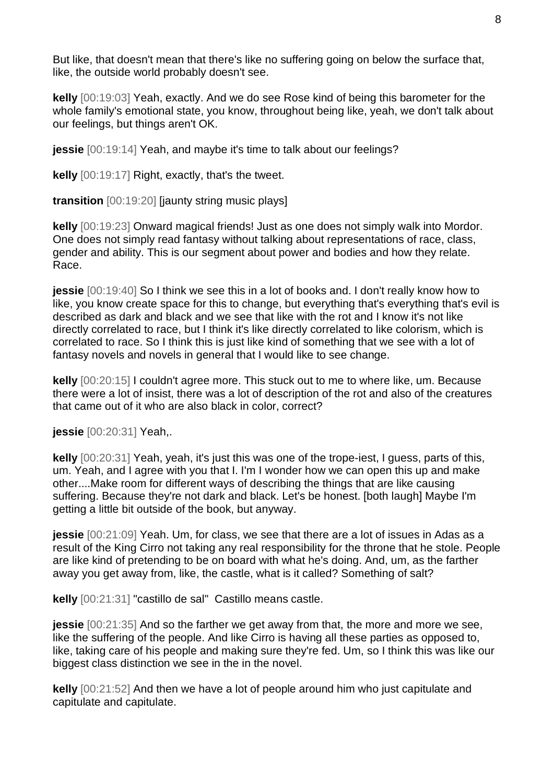But like, that doesn't mean that there's like no suffering going on below the surface that, like, the outside world probably doesn't see.

**kelly** [00:19:03] Yeah, exactly. And we do see Rose kind of being this barometer for the whole family's emotional state, you know, throughout being like, yeah, we don't talk about our feelings, but things aren't OK.

**jessie** [00:19:14] Yeah, and maybe it's time to talk about our feelings?

**kelly** [00:19:17] Right, exactly, that's the tweet.

**transition** [00:19:20] [jaunty string music plays]

**kelly** [00:19:23] Onward magical friends! Just as one does not simply walk into Mordor. One does not simply read fantasy without talking about representations of race, class, gender and ability. This is our segment about power and bodies and how they relate. Race.

**jessie** [00:19:40] So I think we see this in a lot of books and. I don't really know how to like, you know create space for this to change, but everything that's everything that's evil is described as dark and black and we see that like with the rot and I know it's not like directly correlated to race, but I think it's like directly correlated to like colorism, which is correlated to race. So I think this is just like kind of something that we see with a lot of fantasy novels and novels in general that I would like to see change.

**kelly** [00:20:15] I couldn't agree more. This stuck out to me to where like, um. Because there were a lot of insist, there was a lot of description of the rot and also of the creatures that came out of it who are also black in color, correct?

**jessie** [00:20:31] Yeah,.

**kelly** [00:20:31] Yeah, yeah, it's just this was one of the trope-iest, I guess, parts of this, um. Yeah, and I agree with you that I. I'm I wonder how we can open this up and make other....Make room for different ways of describing the things that are like causing suffering. Because they're not dark and black. Let's be honest. [both laugh] Maybe I'm getting a little bit outside of the book, but anyway.

**jessie** [00:21:09] Yeah. Um, for class, we see that there are a lot of issues in Adas as a result of the King Cirro not taking any real responsibility for the throne that he stole. People are like kind of pretending to be on board with what he's doing. And, um, as the farther away you get away from, like, the castle, what is it called? Something of salt?

**kelly** [00:21:31] "castillo de sal" Castillo means castle.

**jessie** [00:21:35] And so the farther we get away from that, the more and more we see, like the suffering of the people. And like Cirro is having all these parties as opposed to, like, taking care of his people and making sure they're fed. Um, so I think this was like our biggest class distinction we see in the in the novel.

**kelly** [00:21:52] And then we have a lot of people around him who just capitulate and capitulate and capitulate.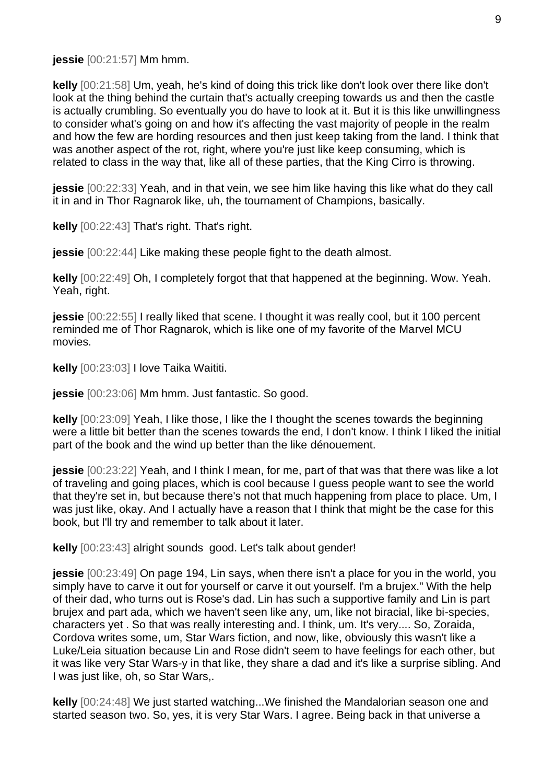**jessie** [00:21:57] Mm hmm.

**kelly** [00:21:58] Um, yeah, he's kind of doing this trick like don't look over there like don't look at the thing behind the curtain that's actually creeping towards us and then the castle is actually crumbling. So eventually you do have to look at it. But it is this like unwillingness to consider what's going on and how it's affecting the vast majority of people in the realm and how the few are hording resources and then just keep taking from the land. I think that was another aspect of the rot, right, where you're just like keep consuming, which is related to class in the way that, like all of these parties, that the King Cirro is throwing.

**jessie** [00:22:33] Yeah, and in that vein, we see him like having this like what do they call it in and in Thor Ragnarok like, uh, the tournament of Champions, basically.

**kelly** [00:22:43] That's right. That's right.

**jessie**  $[00:22:44]$  Like making these people fight to the death almost.

**kelly** [00:22:49] Oh, I completely forgot that that happened at the beginning. Wow. Yeah. Yeah, right.

**jessie** [00:22:55] I really liked that scene. I thought it was really cool, but it 100 percent reminded me of Thor Ragnarok, which is like one of my favorite of the Marvel MCU movies.

**kelly** [00:23:03] I love Taika Waititi.

**jessie** [00:23:06] Mm hmm. Just fantastic. So good.

**kelly** [00:23:09] Yeah, I like those, I like the I thought the scenes towards the beginning were a little bit better than the scenes towards the end, I don't know. I think I liked the initial part of the book and the wind up better than the like dénouement.

**jessie** [00:23:22] Yeah, and I think I mean, for me, part of that was that there was like a lot of traveling and going places, which is cool because I guess people want to see the world that they're set in, but because there's not that much happening from place to place. Um, I was just like, okay. And I actually have a reason that I think that might be the case for this book, but I'll try and remember to talk about it later.

**kelly** [00:23:43] alright sounds good. Let's talk about gender!

**jessie** [00:23:49] On page 194, Lin says, when there isn't a place for you in the world, you simply have to carve it out for yourself or carve it out yourself. I'm a brujex." With the help of their dad, who turns out is Rose's dad. Lin has such a supportive family and Lin is part brujex and part ada, which we haven't seen like any, um, like not biracial, like bi-species, characters yet . So that was really interesting and. I think, um. It's very.... So, Zoraida, Cordova writes some, um, Star Wars fiction, and now, like, obviously this wasn't like a Luke/Leia situation because Lin and Rose didn't seem to have feelings for each other, but it was like very Star Wars-y in that like, they share a dad and it's like a surprise sibling. And I was just like, oh, so Star Wars,.

**kelly** [00:24:48] We just started watching...We finished the Mandalorian season one and started season two. So, yes, it is very Star Wars. I agree. Being back in that universe a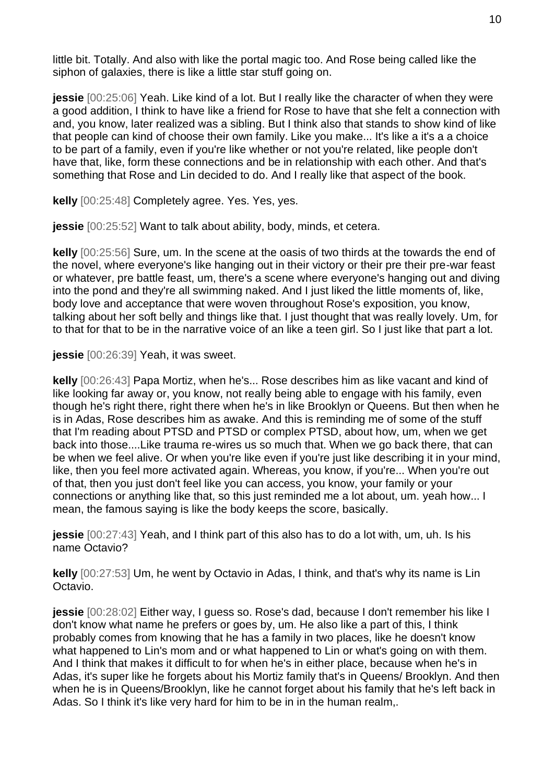little bit. Totally. And also with like the portal magic too. And Rose being called like the siphon of galaxies, there is like a little star stuff going on.

**jessie** [00:25:06] Yeah. Like kind of a lot. But I really like the character of when they were a good addition, I think to have like a friend for Rose to have that she felt a connection with and, you know, later realized was a sibling. But I think also that stands to show kind of like that people can kind of choose their own family. Like you make... It's like a it's a a choice to be part of a family, even if you're like whether or not you're related, like people don't have that, like, form these connections and be in relationship with each other. And that's something that Rose and Lin decided to do. And I really like that aspect of the book.

**kelly** [00:25:48] Completely agree. Yes. Yes, yes.

**jessie** [00:25:52] Want to talk about ability, body, minds, et cetera.

**kelly** [00:25:56] Sure, um. In the scene at the oasis of two thirds at the towards the end of the novel, where everyone's like hanging out in their victory or their pre their pre-war feast or whatever, pre battle feast, um, there's a scene where everyone's hanging out and diving into the pond and they're all swimming naked. And I just liked the little moments of, like, body love and acceptance that were woven throughout Rose's exposition, you know, talking about her soft belly and things like that. I just thought that was really lovely. Um, for to that for that to be in the narrative voice of an like a teen girl. So I just like that part a lot.

**jessie** [00:26:39] Yeah, it was sweet.

**kelly** [00:26:43] Papa Mortiz, when he's... Rose describes him as like vacant and kind of like looking far away or, you know, not really being able to engage with his family, even though he's right there, right there when he's in like Brooklyn or Queens. But then when he is in Adas, Rose describes him as awake. And this is reminding me of some of the stuff that I'm reading about PTSD and PTSD or complex PTSD, about how, um, when we get back into those....Like trauma re-wires us so much that. When we go back there, that can be when we feel alive. Or when you're like even if you're just like describing it in your mind, like, then you feel more activated again. Whereas, you know, if you're... When you're out of that, then you just don't feel like you can access, you know, your family or your connections or anything like that, so this just reminded me a lot about, um. yeah how... I mean, the famous saying is like the body keeps the score, basically.

**jessie** [00:27:43] Yeah, and I think part of this also has to do a lot with, um, uh. Is his name Octavio?

**kelly** [00:27:53] Um, he went by Octavio in Adas, I think, and that's why its name is Lin Octavio.

**jessie** [00:28:02] Either way, I guess so. Rose's dad, because I don't remember his like I don't know what name he prefers or goes by, um. He also like a part of this, I think probably comes from knowing that he has a family in two places, like he doesn't know what happened to Lin's mom and or what happened to Lin or what's going on with them. And I think that makes it difficult to for when he's in either place, because when he's in Adas, it's super like he forgets about his Mortiz family that's in Queens/ Brooklyn. And then when he is in Queens/Brooklyn, like he cannot forget about his family that he's left back in Adas. So I think it's like very hard for him to be in in the human realm,.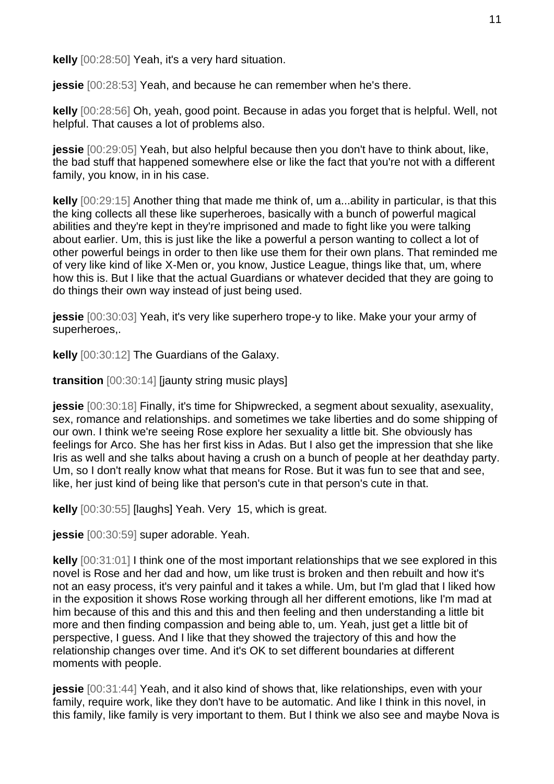**kelly** [00:28:50] Yeah, it's a very hard situation.

**jessie** [00:28:53] Yeah, and because he can remember when he's there.

**kelly** [00:28:56] Oh, yeah, good point. Because in adas you forget that is helpful. Well, not helpful. That causes a lot of problems also.

**jessie** [00:29:05] Yeah, but also helpful because then you don't have to think about, like, the bad stuff that happened somewhere else or like the fact that you're not with a different family, you know, in in his case.

**kelly** [00:29:15] Another thing that made me think of, um a...ability in particular, is that this the king collects all these like superheroes, basically with a bunch of powerful magical abilities and they're kept in they're imprisoned and made to fight like you were talking about earlier. Um, this is just like the like a powerful a person wanting to collect a lot of other powerful beings in order to then like use them for their own plans. That reminded me of very like kind of like X-Men or, you know, Justice League, things like that, um, where how this is. But I like that the actual Guardians or whatever decided that they are going to do things their own way instead of just being used.

**jessie** [00:30:03] Yeah, it's very like superhero trope-y to like. Make your your army of superheroes,.

**kelly** [00:30:12] The Guardians of the Galaxy.

**transition** [00:30:14] [jaunty string music plays]

**jessie** [00:30:18] Finally, it's time for Shipwrecked, a segment about sexuality, asexuality, sex, romance and relationships. and sometimes we take liberties and do some shipping of our own. I think we're seeing Rose explore her sexuality a little bit. She obviously has feelings for Arco. She has her first kiss in Adas. But I also get the impression that she like Iris as well and she talks about having a crush on a bunch of people at her deathday party. Um, so I don't really know what that means for Rose. But it was fun to see that and see, like, her just kind of being like that person's cute in that person's cute in that.

**kelly** [00:30:55] [laughs] Yeah. Very 15, which is great.

**jessie** [00:30:59] super adorable. Yeah.

**kelly** [00:31:01] I think one of the most important relationships that we see explored in this novel is Rose and her dad and how, um like trust is broken and then rebuilt and how it's not an easy process, it's very painful and it takes a while. Um, but I'm glad that I liked how in the exposition it shows Rose working through all her different emotions, like I'm mad at him because of this and this and this and then feeling and then understanding a little bit more and then finding compassion and being able to, um. Yeah, just get a little bit of perspective, I guess. And I like that they showed the trajectory of this and how the relationship changes over time. And it's OK to set different boundaries at different moments with people.

**jessie** [00:31:44] Yeah, and it also kind of shows that, like relationships, even with your family, require work, like they don't have to be automatic. And like I think in this novel, in this family, like family is very important to them. But I think we also see and maybe Nova is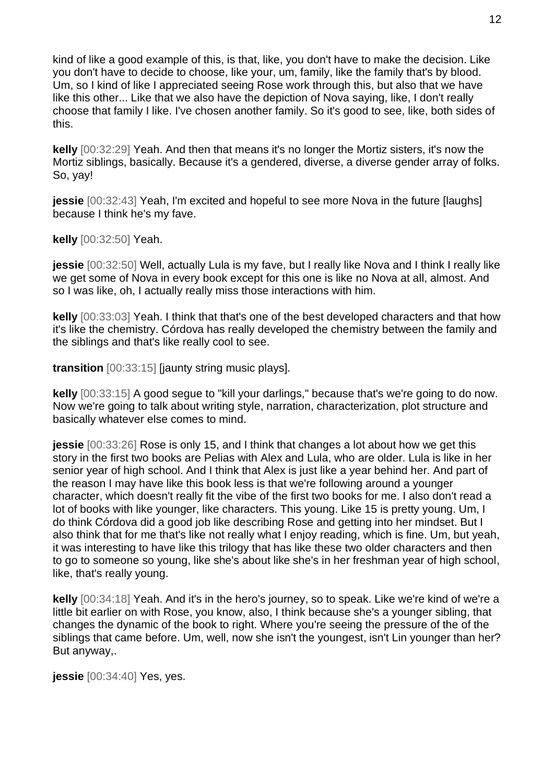kind of like a good example of this, is that, like, you don't have to make the decision. Like you don't have to decide to choose, like your, um, family, like the family that's by blood. Um, so I kind of like I appreciated seeing Rose work through this, but also that we have like this other... Like that we also have the depiction of Nova saying, like, I don't really choose that family I like. I've chosen another family. So it's good to see, like, both sides of this.

**kelly** [00:32:29] Yeah. And then that means it's no longer the Mortiz sisters, it's now the Mortiz siblings, basically. Because it's a gendered, diverse, a diverse gender array of folks. So, yay!

**jessie** [00:32:43] Yeah, I'm excited and hopeful to see more Nova in the future [laughs] because I think he's my fave.

**kelly** [00:32:50] Yeah.

**jessie** [00:32:50] Well, actually Lula is my fave, but I really like Nova and I think I really like we get some of Nova in every book except for this one is like no Nova at all, almost. And so I was like, oh, I actually really miss those interactions with him.

**kelly** [00:33:03] Yeah. I think that that's one of the best developed characters and that how it's like the chemistry. Córdova has really developed the chemistry between the family and the siblings and that's like really cool to see.

**transition** [00:33:15] [jaunty string music plays].

**kelly** [00:33:15] A good segue to "kill your darlings," because that's we're going to do now. Now we're going to talk about writing style, narration, characterization, plot structure and basically whatever else comes to mind.

**jessie** [00:33:26] Rose is only 15, and I think that changes a lot about how we get this story in the first two books are Pelias with Alex and Lula, who are older. Lula is like in her senior year of high school. And I think that Alex is just like a year behind her. And part of the reason I may have like this book less is that we're following around a younger character, which doesn't really fit the vibe of the first two books for me. I also don't read a lot of books with like younger, like characters. This young. Like 15 is pretty young. Um, I do think Córdova did a good job like describing Rose and getting into her mindset. But I also think that for me that's like not really what I enjoy reading, which is fine. Um, but yeah, it was interesting to have like this trilogy that has like these two older characters and then to go to someone so young, like she's about like she's in her freshman year of high school, like, that's really young.

**kelly** [00:34:18] Yeah. And it's in the hero's journey, so to speak. Like we're kind of we're a little bit earlier on with Rose, you know, also, I think because she's a younger sibling, that changes the dynamic of the book to right. Where you're seeing the pressure of the of the siblings that came before. Um, well, now she isn't the youngest, isn't Lin younger than her? But anyway,.

**jessie** [00:34:40] Yes, yes.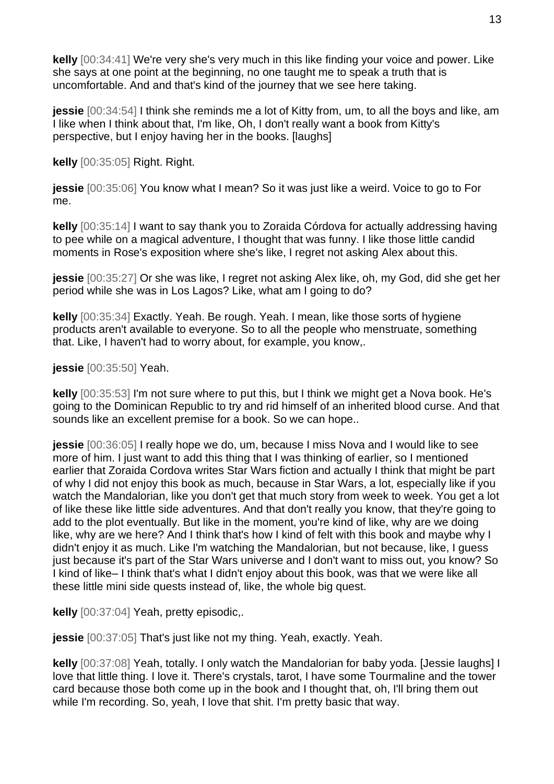**kelly** [00:34:41] We're very she's very much in this like finding your voice and power. Like she says at one point at the beginning, no one taught me to speak a truth that is uncomfortable. And and that's kind of the journey that we see here taking.

**jessie** [00:34:54] I think she reminds me a lot of Kitty from, um, to all the boys and like, am I like when I think about that, I'm like, Oh, I don't really want a book from Kitty's perspective, but I enjoy having her in the books. [laughs]

**kelly** [00:35:05] Right. Right.

**jessie** [00:35:06] You know what I mean? So it was just like a weird. Voice to go to For me.

**kelly** [00:35:14] I want to say thank you to Zoraida Córdova for actually addressing having to pee while on a magical adventure, I thought that was funny. I like those little candid moments in Rose's exposition where she's like, I regret not asking Alex about this.

**jessie** [00:35:27] Or she was like, I regret not asking Alex like, oh, my God, did she get her period while she was in Los Lagos? Like, what am I going to do?

**kelly** [00:35:34] Exactly. Yeah. Be rough. Yeah. I mean, like those sorts of hygiene products aren't available to everyone. So to all the people who menstruate, something that. Like, I haven't had to worry about, for example, you know,.

**jessie** [00:35:50] Yeah.

**kelly** [00:35:53] I'm not sure where to put this, but I think we might get a Nova book. He's going to the Dominican Republic to try and rid himself of an inherited blood curse. And that sounds like an excellent premise for a book. So we can hope..

**jessie** [00:36:05] I really hope we do, um, because I miss Nova and I would like to see more of him. I just want to add this thing that I was thinking of earlier, so I mentioned earlier that Zoraida Cordova writes Star Wars fiction and actually I think that might be part of why I did not enjoy this book as much, because in Star Wars, a lot, especially like if you watch the Mandalorian, like you don't get that much story from week to week. You get a lot of like these like little side adventures. And that don't really you know, that they're going to add to the plot eventually. But like in the moment, you're kind of like, why are we doing like, why are we here? And I think that's how I kind of felt with this book and maybe why I didn't enjoy it as much. Like I'm watching the Mandalorian, but not because, like, I guess just because it's part of the Star Wars universe and I don't want to miss out, you know? So I kind of like– I think that's what I didn't enjoy about this book, was that we were like all these little mini side quests instead of, like, the whole big quest.

**kelly** [00:37:04] Yeah, pretty episodic,.

**jessie** [00:37:05] That's just like not my thing. Yeah, exactly. Yeah.

**kelly** [00:37:08] Yeah, totally. I only watch the Mandalorian for baby yoda. [Jessie laughs] I love that little thing. I love it. There's crystals, tarot, I have some Tourmaline and the tower card because those both come up in the book and I thought that, oh, I'll bring them out while I'm recording. So, yeah, I love that shit. I'm pretty basic that way.